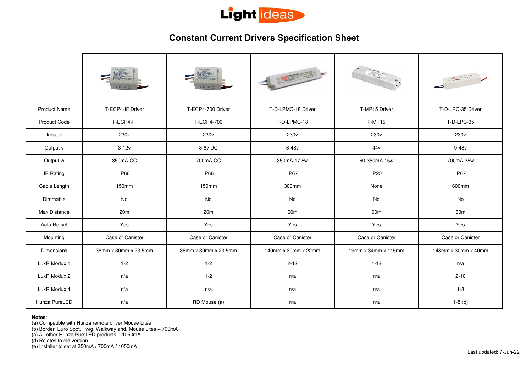

## **Constant Current Drivers Specification Sheet**

|                     |                      |                      | A POWERFEIT         |                     | A MARTINEZ          |
|---------------------|----------------------|----------------------|---------------------|---------------------|---------------------|
| <b>Product Name</b> | T-ECP4-IF Driver     | T-ECP4-700 Driver    | T-D-LPMC-18 Driver  | T-MP15 Driver       | T-D-LPC-35 Driver   |
| <b>Product Code</b> | T-ECP4-IF            | T-ECP4-700           | T-D-LPMC-18         | <b>T-MP15</b>       | T-D-LPC-35          |
| Input v             | 230 <sub>v</sub>     | 230 <sub>v</sub>     | 230 <sub>v</sub>    | 230 <sub>v</sub>    | 230 <sub>v</sub>    |
| Output v            | $3-12v$              | 3-6v DC              | $6-48v$             | 44v                 | $9-48v$             |
| Output w            | 350mA CC             | 700mA CC             | 350mA 17.5w         | 60-350mA 15w        | 700mA 35w           |
| IP Rating           | IP66                 | <b>IP66</b>          | IP67                | <b>IP20</b>         | IP67                |
| Cable Length        | 150mm                | 150mm                | 300mm               | None                | 600mm               |
| Dimmable            | No                   | No                   | No                  | No                  | No                  |
| Max Distance        | 20m                  | 20m                  | 60 <sub>m</sub>     | 60 <sub>m</sub>     | 60 <sub>m</sub>     |
| Auto Re-set         | Yes                  | Yes                  | Yes                 | Yes                 | Yes                 |
| Mounting            | Case or Canister     | Case or Canister     | Case or Canister    | Case or Canister    | Case or Canister    |
| Dimensions          | 38mm x 30mm x 23.5mm | 38mm x 30mm x 23.5mm | 140mm x 30mm x 22mm | 19mm x 34mm x 115mm | 148mm x 30mm x 40mm |
| LuxR Modux 1        | $1 - 2$              | $1 - 2$              | $2 - 12$            | $1 - 12$            | n/a                 |
| LuxR Modux 2        | n/a                  | $1 - 2$              | n/a                 | n/a                 | $2 - 10$            |
| LuxR Modux 4        | n/a                  | n/a                  | n/a                 | n/a                 | $1 - 8$             |
| Hunza PureLED       | n/a                  | RD Mouse (a)         | n/a                 | n/a                 | $1-8$ (b)           |
|                     |                      |                      |                     |                     |                     |

 **Notes**:

(a) Compatible with Hunza remote driver Mouse Lites

(b) Border, Euro Spot, Twig, Walkway and, Mouse Lites – 700mA

(c) All other Hunza PureLED products – 1050mA

(d) Relates to old version

(e) Installer to set at 350mA / 700mA / 1050mA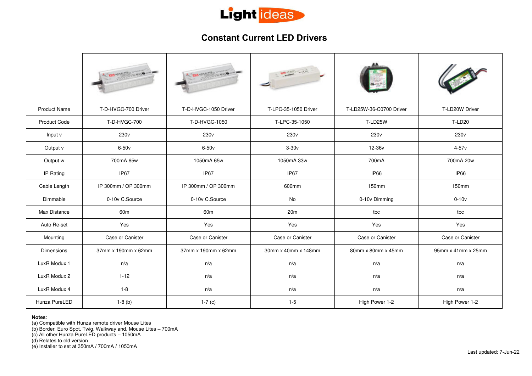

## **Constant Current LED Drivers**

|                     |                     |                      | <b>PITTS LIE</b>     |                         |                    |
|---------------------|---------------------|----------------------|----------------------|-------------------------|--------------------|
| <b>Product Name</b> | T-D-HVGC-700 Driver | T-D-HVGC-1050 Driver | T-LPC-35-1050 Driver | T-LD25W-36-C0700 Driver | T-LD20W Driver     |
| <b>Product Code</b> | T-D-HVGC-700        | T-D-HVGC-1050        | T-LPC-35-1050        | T-LD25W                 | <b>T-LD20</b>      |
| Input v             | 230 <sub>v</sub>    | 230 <sub>v</sub>     | 230 <sub>v</sub>     | 230 <sub>v</sub>        | 230 <sub>v</sub>   |
| Output v            | $6-50v$             | $6-50v$              | $3-30v$              | 12-36v                  | $4-57v$            |
| Output w            | 700mA 65w           | 1050mA 65w           | 1050mA 33w           | 700mA                   | 700mA 20w          |
| IP Rating           | IP <sub>67</sub>    | IP67                 | IP <sub>67</sub>     | IP66                    | IP66               |
| Cable Length        | IP 300mm / OP 300mm | IP 300mm / OP 300mm  | 600mm                | 150mm                   | 150mm              |
| Dimmable            | 0-10v C.Source      | 0-10v C.Source       | No                   | 0-10v Dimming           | $0-10v$            |
| Max Distance        | 60 <sub>m</sub>     | 60 <sub>m</sub>      | 20 <sub>m</sub>      | tbc                     | tbc                |
| Auto Re-set         | Yes                 | Yes                  | Yes                  | Yes                     | Yes                |
| Mounting            | Case or Canister    | Case or Canister     | Case or Canister     | Case or Canister        | Case or Canister   |
| Dimensions          | 37mm x 190mm x 62mm | 37mm x 190mm x 62mm  | 30mm x 40mm x 148mm  | 80mm x 80mm x 45mm      | 95mm x 41mm x 25mm |
| LuxR Modux 1        | n/a                 | n/a                  | n/a                  | n/a                     | n/a                |
| LuxR Modux 2        | $1 - 12$            | n/a                  | n/a                  | n/a                     | n/a                |
| LuxR Modux 4        | $1 - 8$             | n/a                  | n/a                  | n/a                     | n/a                |
| Hunza PureLED       | $1-8$ (b)           | 1-7 $(c)$            | $1 - 5$              | High Power 1-2          | High Power 1-2     |

 **Notes**:

(a) Compatible with Hunza remote driver Mouse Lites

(b) Border, Euro Spot, Twig, Walkway and, Mouse Lites – 700mA

(c) All other Hunza PureLED products – 1050mA

(d) Relates to old version

(e) Installer to set at 350mA / 700mA / 1050mA